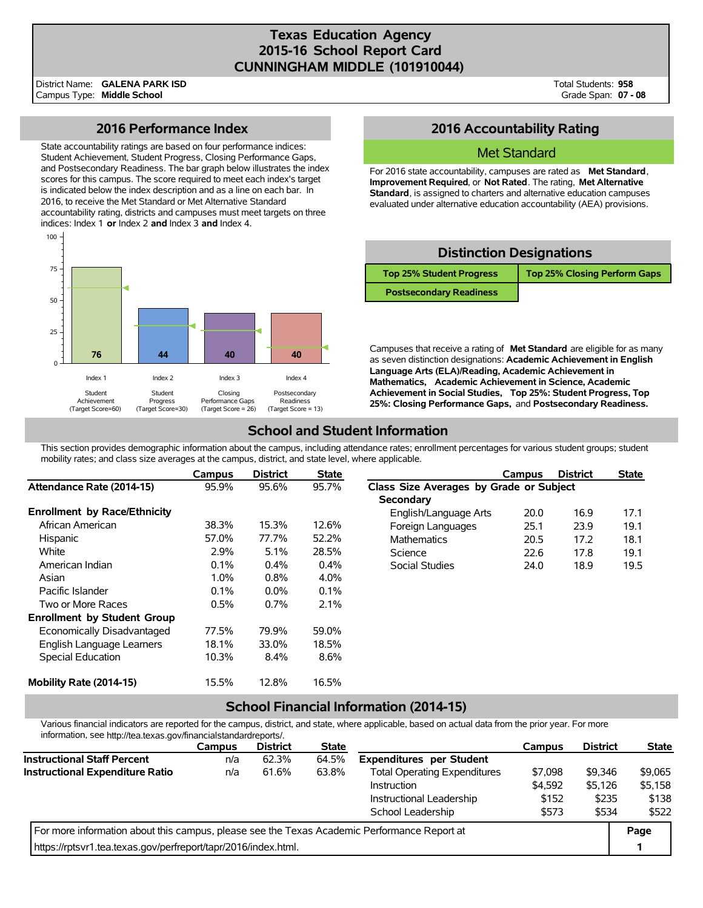### **Texas Education Agency 2015-16 School Report Card CUNNINGHAM MIDDLE (101910044)**

District Name: Campus Type: **Middle School GALENA PARK ISD**  Total Students: **958**  Grade Span: **07 - 08** 

### **2016 Performance Index**

State accountability ratings are based on four performance indices: Student Achievement, Student Progress, Closing Performance Gaps, and Postsecondary Readiness. The bar graph below illustrates the index scores for this campus. The score required to meet each index's target is indicated below the index description and as a line on each bar. In 2016, to receive the Met Standard or Met Alternative Standard accountability rating, districts and campuses must meet targets on three indices: Index 1 **or** Index 2 **and** Index 3 **and** Index 4.



### **2016 Accountability Rating**

### Met Standard

For 2016 state accountability, campuses are rated as **Met Standard**, **Improvement Required**, or **Not Rated**. The rating, **Met Alternative Standard**, is assigned to charters and alternative education campuses evaluated under alternative education accountability (AEA) provisions.

| <b>Distinction Designations</b> |                                     |  |  |  |  |  |  |  |
|---------------------------------|-------------------------------------|--|--|--|--|--|--|--|
| <b>Top 25% Student Progress</b> | <b>Top 25% Closing Perform Gaps</b> |  |  |  |  |  |  |  |
| <b>Postsecondary Readiness</b>  |                                     |  |  |  |  |  |  |  |

Campuses that receive a rating of **Met Standard** are eligible for as many as seven distinction designations: **Academic Achievement in English Language Arts (ELA)/Reading, Academic Achievement in Mathematics, Academic Achievement in Science, Academic Achievement in Social Studies, Top 25%: Student Progress, Top 25%: Closing Performance Gaps,** and **Postsecondary Readiness.** 

## **School and Student Information**

This section provides demographic information about the campus, including attendance rates; enrollment percentages for various student groups; student mobility rates; and class size averages at the campus, district, and state level, where applicable.

|                                     | Campus  | <b>District</b> | <b>State</b> |                                         | Campus | <b>District</b> | <b>State</b> |  |
|-------------------------------------|---------|-----------------|--------------|-----------------------------------------|--------|-----------------|--------------|--|
| Attendance Rate (2014-15)           | 95.9%   | 95.6%           | 95.7%        | Class Size Averages by Grade or Subject |        |                 |              |  |
|                                     |         |                 |              | <b>Secondary</b>                        |        |                 |              |  |
| <b>Enrollment by Race/Ethnicity</b> |         |                 |              | English/Language Arts                   | 20.0   | 16.9            | 17.1         |  |
| African American                    | 38.3%   | 15.3%           | 12.6%        | Foreign Languages                       | 25.1   | 23.9            | 19.1         |  |
| Hispanic                            | 57.0%   | 77.7%           | 52.2%        | <b>Mathematics</b>                      | 20.5   | 17.2            | 18.1         |  |
| White                               | 2.9%    | 5.1%            | 28.5%        | Science                                 | 22.6   | 17.8            | 19.1         |  |
| American Indian                     | 0.1%    | 0.4%            | 0.4%         | Social Studies                          | 24.0   | 18.9            | 19.5         |  |
| Asian                               | $1.0\%$ | 0.8%            | 4.0%         |                                         |        |                 |              |  |
| Pacific Islander                    | 0.1%    | $0.0\%$         | 0.1%         |                                         |        |                 |              |  |
| Two or More Races                   | 0.5%    | 0.7%            | 2.1%         |                                         |        |                 |              |  |
| <b>Enrollment by Student Group</b>  |         |                 |              |                                         |        |                 |              |  |
| Economically Disadvantaged          | 77.5%   | 79.9%           | 59.0%        |                                         |        |                 |              |  |
| English Language Learners           | 18.1%   | 33.0%           | 18.5%        |                                         |        |                 |              |  |
| Special Education                   | 10.3%   | 8.4%            | 8.6%         |                                         |        |                 |              |  |
| Mobility Rate (2014-15)             | 15.5%   | 12.8%           | 16.5%        |                                         |        |                 |              |  |

### **School Financial Information (2014-15)**

Various financial indicators are reported for the campus, district, and state, where applicable, based on actual data from the prior year. For more information, see [http://tea.texas.gov/financialstandardreports/](http://tea.texas.gov/financialstandardreports).

|                                                                                             | <b>Campus</b> | <b>District</b> | <b>State</b> |                                     | <b>Campus</b> | <b>District</b> | <b>State</b> |
|---------------------------------------------------------------------------------------------|---------------|-----------------|--------------|-------------------------------------|---------------|-----------------|--------------|
| <b>Instructional Staff Percent</b>                                                          | n/a           | 62.3%           | 64.5%        | <b>Expenditures per Student</b>     |               |                 |              |
| <b>Instructional Expenditure Ratio</b>                                                      | n/a           | 61.6%           | 63.8%        | <b>Total Operating Expenditures</b> | \$7,098       | \$9.346         | \$9,065      |
|                                                                                             |               |                 |              | Instruction                         | \$4.592       | \$5,126         | \$5,158      |
|                                                                                             |               |                 |              | Instructional Leadership            | \$152         | \$235           | \$138        |
|                                                                                             |               |                 |              | School Leadership                   | \$573         | \$534           | \$522        |
| For more information about this campus, please see the Texas Academic Performance Report at |               |                 |              |                                     |               |                 | Page         |
| https://rptsvr1.tea.texas.gov/perfreport/tapr/2016/index.html.                              |               |                 |              |                                     |               |                 |              |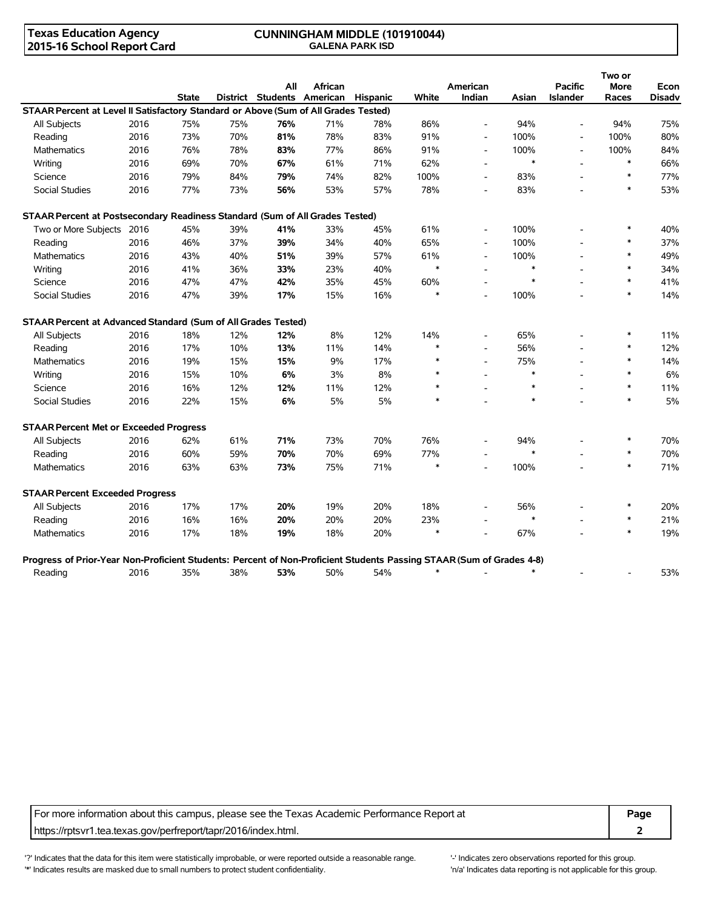# **2015-16 School Report Card**

# **Texas Education Agency CUNNINGHAM MIDDLE (101910044)**

|                                                                                                                      |      |              |     | All                        | African |          |        | American                 |        | <b>Pacific</b>           | Two or<br><b>More</b> | Econ   |
|----------------------------------------------------------------------------------------------------------------------|------|--------------|-----|----------------------------|---------|----------|--------|--------------------------|--------|--------------------------|-----------------------|--------|
|                                                                                                                      |      | <b>State</b> |     | District Students American |         | Hispanic | White  | Indian                   | Asian  | <b>Islander</b>          | Races                 | Disadv |
| STAAR Percent at Level II Satisfactory Standard or Above (Sum of All Grades Tested)                                  |      |              |     |                            |         |          |        |                          |        |                          |                       |        |
| <b>All Subjects</b>                                                                                                  | 2016 | 75%          | 75% | 76%                        | 71%     | 78%      | 86%    | $\overline{\phantom{a}}$ | 94%    | $\overline{a}$           | 94%                   | 75%    |
| Reading                                                                                                              | 2016 | 73%          | 70% | 81%                        | 78%     | 83%      | 91%    | $\overline{\phantom{a}}$ | 100%   | $\blacksquare$           | 100%                  | 80%    |
| <b>Mathematics</b>                                                                                                   | 2016 | 76%          | 78% | 83%                        | 77%     | 86%      | 91%    | $\overline{\phantom{a}}$ | 100%   | $\overline{\phantom{a}}$ | 100%                  | 84%    |
| Writing                                                                                                              | 2016 | 69%          | 70% | 67%                        | 61%     | 71%      | 62%    | $\blacksquare$           | $\ast$ |                          | $\ast$                | 66%    |
| Science                                                                                                              | 2016 | 79%          | 84% | 79%                        | 74%     | 82%      | 100%   | $\overline{\phantom{a}}$ | 83%    | $\overline{\phantom{a}}$ | $\ast$                | 77%    |
| <b>Social Studies</b>                                                                                                | 2016 | 77%          | 73% | 56%                        | 53%     | 57%      | 78%    | $\overline{a}$           | 83%    |                          | $\ast$                | 53%    |
| STAAR Percent at Postsecondary Readiness Standard (Sum of All Grades Tested)                                         |      |              |     |                            |         |          |        |                          |        |                          |                       |        |
| Two or More Subjects 2016                                                                                            |      | 45%          | 39% | 41%                        | 33%     | 45%      | 61%    | $\overline{\phantom{a}}$ | 100%   |                          | $\ast$                | 40%    |
| Reading                                                                                                              | 2016 | 46%          | 37% | 39%                        | 34%     | 40%      | 65%    | $\blacksquare$           | 100%   |                          | $\ast$                | 37%    |
| Mathematics                                                                                                          | 2016 | 43%          | 40% | 51%                        | 39%     | 57%      | 61%    | $\blacksquare$           | 100%   |                          | $\ast$                | 49%    |
| Writing                                                                                                              | 2016 | 41%          | 36% | 33%                        | 23%     | 40%      | $\ast$ |                          | $\ast$ |                          |                       | 34%    |
| Science                                                                                                              | 2016 | 47%          | 47% | 42%                        | 35%     | 45%      | 60%    |                          | $\ast$ |                          | $\ast$                | 41%    |
| <b>Social Studies</b>                                                                                                | 2016 | 47%          | 39% | 17%                        | 15%     | 16%      | $\ast$ |                          | 100%   |                          | $\ast$                | 14%    |
| STAAR Percent at Advanced Standard (Sum of All Grades Tested)                                                        |      |              |     |                            |         |          |        |                          |        |                          |                       |        |
| All Subjects                                                                                                         | 2016 | 18%          | 12% | 12%                        | 8%      | 12%      | 14%    |                          | 65%    |                          | *                     | 11%    |
| Reading                                                                                                              | 2016 | 17%          | 10% | 13%                        | 11%     | 14%      | $\ast$ | $\overline{\phantom{a}}$ | 56%    |                          | $\ast$                | 12%    |
| Mathematics                                                                                                          | 2016 | 19%          | 15% | 15%                        | 9%      | 17%      | $\ast$ | $\sim$                   | 75%    |                          | $\ast$                | 14%    |
| Writing                                                                                                              | 2016 | 15%          | 10% | 6%                         | 3%      | 8%       | $\ast$ |                          | $\ast$ |                          |                       | 6%     |
| Science                                                                                                              | 2016 | 16%          | 12% | 12%                        | 11%     | 12%      | $\ast$ |                          | $\ast$ |                          | $\ast$                | 11%    |
| <b>Social Studies</b>                                                                                                | 2016 | 22%          | 15% | 6%                         | 5%      | 5%       | $\ast$ |                          | $\ast$ |                          | $\ast$                | 5%     |
| <b>STAAR Percent Met or Exceeded Progress</b>                                                                        |      |              |     |                            |         |          |        |                          |        |                          |                       |        |
| All Subjects                                                                                                         | 2016 | 62%          | 61% | 71%                        | 73%     | 70%      | 76%    |                          | 94%    |                          | $\ast$                | 70%    |
| Reading                                                                                                              | 2016 | 60%          | 59% | 70%                        | 70%     | 69%      | 77%    | $\overline{\phantom{a}}$ | $\ast$ |                          | $\ast$                | 70%    |
| <b>Mathematics</b>                                                                                                   | 2016 | 63%          | 63% | 73%                        | 75%     | 71%      | $\ast$ | $\overline{a}$           | 100%   |                          | $\ast$                | 71%    |
| <b>STAAR Percent Exceeded Progress</b>                                                                               |      |              |     |                            |         |          |        |                          |        |                          |                       |        |
| All Subjects                                                                                                         | 2016 | 17%          | 17% | 20%                        | 19%     | 20%      | 18%    |                          | 56%    |                          |                       | 20%    |
| Reading                                                                                                              | 2016 | 16%          | 16% | 20%                        | 20%     | 20%      | 23%    |                          | $\ast$ |                          | $\ast$                | 21%    |
| Mathematics                                                                                                          | 2016 | 17%          | 18% | 19%                        | 18%     | 20%      |        |                          | 67%    |                          |                       | 19%    |
| Progress of Prior-Year Non-Proficient Students: Percent of Non-Proficient Students Passing STAAR (Sum of Grades 4-8) |      |              |     |                            |         |          |        |                          |        |                          |                       |        |
| Reading                                                                                                              | 2016 | 35%          | 38% | 53%                        | 50%     | 54%      | $\ast$ |                          | $\ast$ |                          |                       | 53%    |

For more information about this campus, please see the Texas Academic Performance Report at **Page 1966 Page Page** https://rptsvr1.tea.texas.gov/perfreport/tapr/2016/index.html. **2** 

'?' Indicates that the data for this item were statistically improbable, or were reported outside a reasonable range. '-' Indicates zero observations reported for this group. '\*' Indicates results are masked due to small numbers to protect student confidentiality. Moreover the student of the student confidentiality.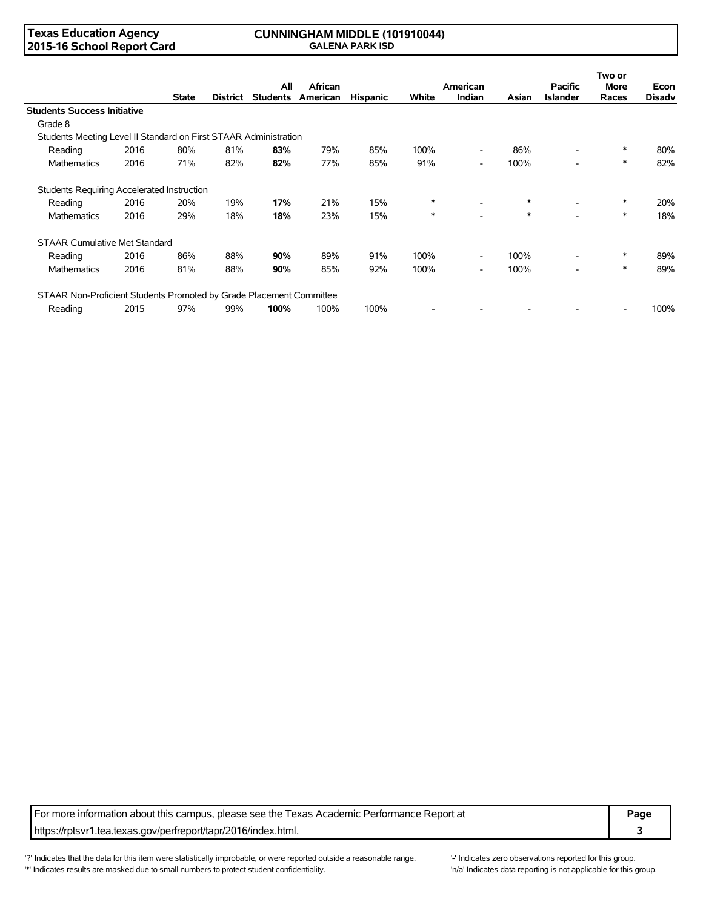#### **Texas Education Agency 2015-16 School Report Card**

#### **CUNNINGHAM MIDDLE (101910044) GALENA PARK ISD**

|                                                                     |      |              |          | All             | African  |                 |        | American                 |        | <b>Pacific</b>           | Two or<br><b>More</b> | Econ          |
|---------------------------------------------------------------------|------|--------------|----------|-----------------|----------|-----------------|--------|--------------------------|--------|--------------------------|-----------------------|---------------|
|                                                                     |      | <b>State</b> | District | <b>Students</b> | American | <b>Hispanic</b> | White  | <b>Indian</b>            | Asian  | <b>Islander</b>          | Races                 | <b>Disady</b> |
| <b>Students Success Initiative</b>                                  |      |              |          |                 |          |                 |        |                          |        |                          |                       |               |
| Grade 8                                                             |      |              |          |                 |          |                 |        |                          |        |                          |                       |               |
| Students Meeting Level II Standard on First STAAR Administration    |      |              |          |                 |          |                 |        |                          |        |                          |                       |               |
| Reading                                                             | 2016 | 80%          | 81%      | 83%             | 79%      | 85%             | 100%   | $\overline{\phantom{0}}$ | 86%    |                          | $\ast$                | 80%           |
| <b>Mathematics</b>                                                  | 2016 | 71%          | 82%      | 82%             | 77%      | 85%             | 91%    | $\overline{\phantom{0}}$ | 100%   |                          | $\ast$                | 82%           |
| Students Requiring Accelerated Instruction                          |      |              |          |                 |          |                 |        |                          |        |                          |                       |               |
| Reading                                                             | 2016 | 20%          | 19%      | 17%             | 21%      | 15%             | $\ast$ | $\overline{\phantom{0}}$ | $\ast$ | $\overline{\phantom{a}}$ | $\ast$                | 20%           |
| <b>Mathematics</b>                                                  | 2016 | 29%          | 18%      | 18%             | 23%      | 15%             | $\ast$ |                          | $\ast$ |                          | $\ast$                | 18%           |
| <b>STAAR Cumulative Met Standard</b>                                |      |              |          |                 |          |                 |        |                          |        |                          |                       |               |
| Reading                                                             | 2016 | 86%          | 88%      | 90%             | 89%      | 91%             | 100%   | $\overline{\phantom{0}}$ | 100%   | $\overline{\phantom{a}}$ | *                     | 89%           |
| <b>Mathematics</b>                                                  | 2016 | 81%          | 88%      | 90%             | 85%      | 92%             | 100%   | $\overline{\phantom{0}}$ | 100%   | $\overline{\phantom{a}}$ | $\ast$                | 89%           |
| STAAR Non-Proficient Students Promoted by Grade Placement Committee |      |              |          |                 |          |                 |        |                          |        |                          |                       |               |
| Reading                                                             | 2015 | 97%          | 99%      | 100%            | 100%     | 100%            |        |                          |        |                          |                       | 100%          |

For more information about this campus, please see the Texas Academic Performance Report at **Page 1966 Page Page** https://rptsvr1.tea.texas.gov/perfreport/tapr/2016/index.html. **3** 

'?' Indicates that the data for this item were statistically improbable, or were reported outside a reasonable range. '' Indicates zero observations reported for this group. '\*' Indicates results are masked due to small numbers to protect student confidentiality. Moreover the student of the student confidentiality.